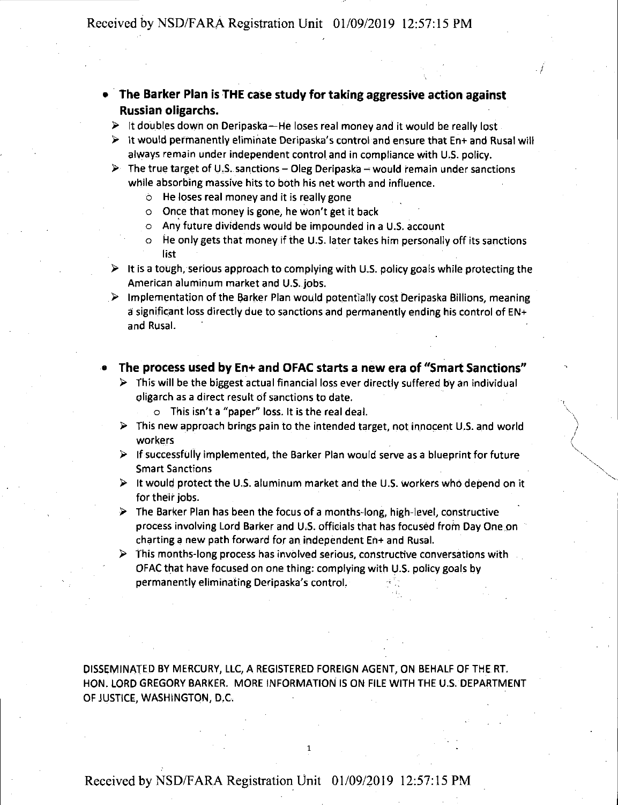- **The Barker Plan is THE case study for taking aggressive action against Russian oligarchs.** 
	- ► It doubles down on Deripaska-He loses real money and it would be really lost
	- ► It would permanently eliminate Deripaska's control and ensure that En+ and Rusal will always remain under independent control. and in compliance with U.S. policy.

.I

- $\triangleright$  The true target of U.S. sanctions Oleg Deripaska would remain under sanctions while absorbing massive hits to both his net worth and influence.
	- o He loses real money and it is really gone
	- o Once that money is gone, he won't get it back
	- o Any future dividends would be impounded in a U.S. account
	- o He only gets that money if the U.S. later takes him personally off its sanctions list
- $\triangleright$  It is a tough, serious approach to complying with U.S. policy goals while protecting the American aluminum market and U.S. jobs.
- ► Implementation of the Barker Plan would potentially cost Deripaska Billions, meaning a significant loss directly due to sanctions and permanently ending his control of  $EN+$ and Rusal.

## • **The process used by En+ and OFAC starts a new era of "Smart Sanctions"**

- $\triangleright$  This will be the biggest actual financial loss ever directly suffered by an individual oligarch as a direct result of sanctions to date.
	- $\circ$  This isn't a "paper" loss. It is the real deal.
- $\triangleright$  This new approach brings pain to the intended target, not innocent U.S. and world workers
- $\triangleright$  If successfully implemented, the Barker Plan would serve as a blueprint for future Smart Sanctions
- ► It would protect the U.S. aluminum market and the U.S. workers who depend on it for their jobs.
- $\triangleright$  The Barker Plan has been the focus of a months-long, high-level, constructive process involving Lord Barker and U.S. officials that has focused from Day One on charting a new path forward for an independent En+ and Rusal.
- $\triangleright$  This months-long process has involved serious, constructive conversations with OFAC that have focused on one thing: complying with U.S. policy goals by permanently eliminating Deripaska's control.

DISSEMINATED BY MERCURY, LLC, A REGISTERED FOREIGN AGENT, ON BEHALF OF THE RT. HON. LORD GREGORY BARKER. MORE INFORMATION IS ON FILE WITH THE U.S. DEPARTMENT OF JUSTICE, WASHINGTON, D.C.

## Received by NSD/FARA Registration Unit 01/09/2019 12:57:15 PM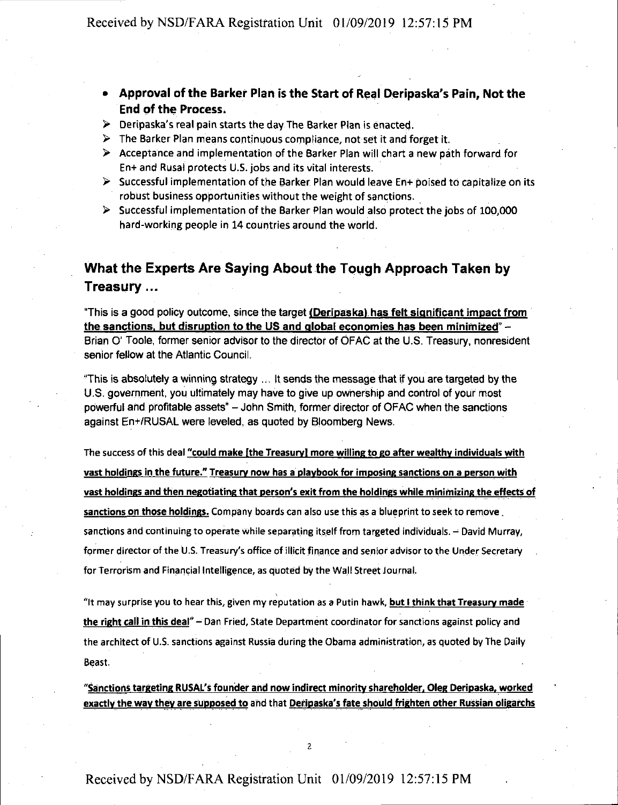- **Approval of the Barker Plan is the Start of Real Deripaska's Pain, Not the End of the Process.**
- ► Deripaska's real pain starts the day The Barker Plan is enacted.
- $\triangleright$  The Barker Plan means continuous compliance, not set it and forget it.
- ► Acceptance ahd implementation of the Barker Plan will chart a new path forward for En+ and Rusal protects U.S. jobs and its vital interests.
- ► Successful implementation of the 13arker Plan would leave En+ poised to capitalize on its robust business opportunities without the weight of sanctions.
- ► Successful implementation of the Barker Plan would also protect the jobs of 100,000 hard-working people in 14 countries around the world.

## **What the Experts Are Saying About the Tough Approach Taken by Treasury ...**

"This is **a** good policy outcome, since the target **(Deripaskal has felt significant impact from the sanctions, but disruption to the US and global economies has been minimized"** - Brian O' Toole, former senior advisor to the director of OFAC at the U.S. Treasury, nonresident senior fellow at the Atlantic Council.

"This is absolutely a winning strategy ... It sends the message that if you are targeted by the U.S. government, you ultimately may have to give up owhership and control of your most powerful and profitable assets" - John Smith, former director of OFAC when the sanctions against En+/RUSAL were leveled, as quoted by Bloomberg News.

The success of this deal **"could make [the Treasury) more willing to go after wealthy individuals with vast holdings** in **the future." Treasury now has a playbook for imposing sanctions.on a person with vast holdings and then negotiating that person's exit from the holdings while minimizing the effects of** sanctions on those holdings. Company boards can also use this as a blueprint to seek to remove. sanctions and continuing to operate while separating itself from targeted individuals. - David Murray, former director of the U.S. Treasury's office of illicit finance and senior advisor to the Under Secretary for Terrorism and Financial Intelligence, as quoted by the Wall Street Journal.

"It may surprise you to hear this, given my reputation as a Putin hawk, **but** I **think that Treasury made the right call in this deal"** - Dan Fried, State Department coordinator for sanctions against policy and the architect of U.S. sanctions against Russia during the Obama administration, as quoted by The Daily Beast.

"Sanctions targeting RUSAL's founder and now indirect minority shareholder, Oleg Deripaska, worked exactly the way they are supposed to and that **Deripaska's fate should frighten other Russian oligarchs** 

## Received by NSD/FARA Registration Unit 01/09/2019 12:57:15 PM